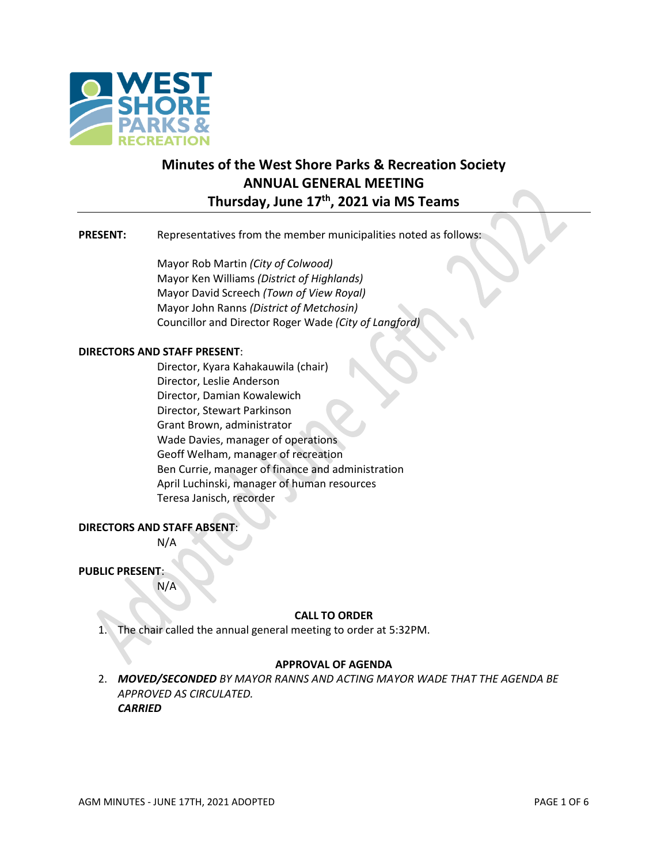

# **Minutes of the West Shore Parks & Recreation Society ANNUAL GENERAL MEETING Thursday, June 17 th, 2021 via MS Teams**

# **PRESENT:** Representatives from the member municipalities noted as follows:

Mayor Rob Martin *(City of Colwood)* Mayor Ken Williams *(District of Highlands)* Mayor David Screech *(Town of View Royal)* Mayor John Ranns *(District of Metchosin)* Councillor and Director Roger Wade *(City of Langford)*

#### **DIRECTORS AND STAFF PRESENT**:

Director, Kyara Kahakauwila (chair) Director, Leslie Anderson Director, Damian Kowalewich Director, Stewart Parkinson Grant Brown, administrator Wade Davies, manager of operations Geoff Welham, manager of recreation Ben Currie, manager of finance and administration April Luchinski, manager of human resources Teresa Janisch, recorder

# **DIRECTORS AND STAFF ABSENT**:

N/A

# **PUBLIC PRESENT**:

N/A

# **CALL TO ORDER**

1. The chair called the annual general meeting to order at 5:32PM.

# **APPROVAL OF AGENDA**

2. *MOVED/SECONDED BY MAYOR RANNS AND ACTING MAYOR WADE THAT THE AGENDA BE APPROVED AS CIRCULATED. CARRIED*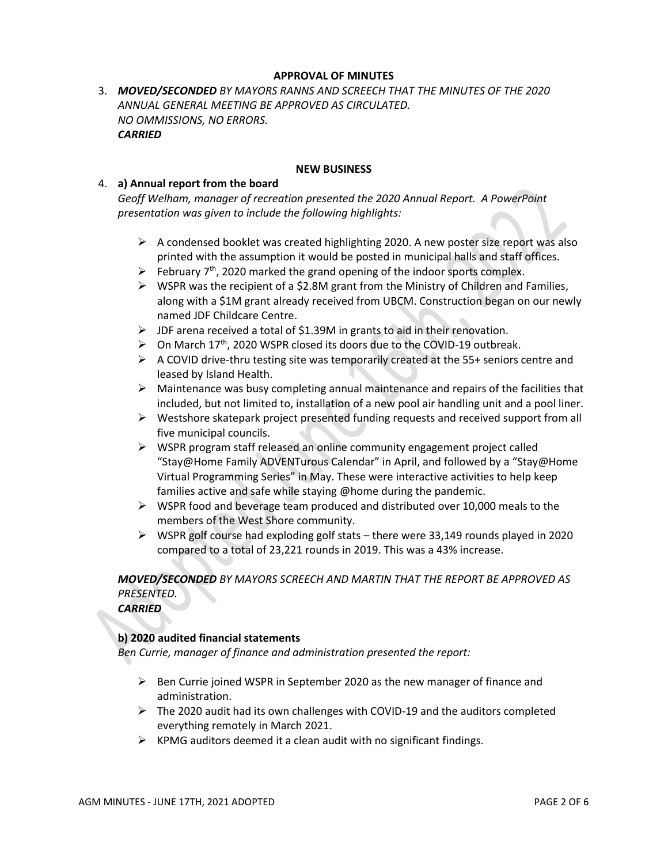# **APPROVAL OF MINUTES**

3. *MOVED/SECONDED BY MAYORS RANNS AND SCREECH THAT THE MINUTES OF THE 2020 ANNUAL GENERAL MEETING BE APPROVED AS CIRCULATED. NO OMMISSIONS, NO ERRORS. CARRIED*

#### **NEW BUSINESS**

#### 4. **a) Annual report from the board**

*Geoff Welham, manager of recreation presented the 2020 Annual Report. A PowerPoint presentation was given to include the following highlights:*

- $\triangleright$  A condensed booklet was created highlighting 2020. A new poster size report was also printed with the assumption it would be posted in municipal halls and staff offices.
- $\triangleright$  February 7<sup>th</sup>, 2020 marked the grand opening of the indoor sports complex.
- $\triangleright$  WSPR was the recipient of a \$2.8M grant from the Ministry of Children and Families, along with a \$1M grant already received from UBCM. Construction began on our newly named JDF Childcare Centre.
- ➢ JDF arena received a total of \$1.39M in grants to aid in their renovation.
- $\triangleright$  On March 17<sup>th</sup>, 2020 WSPR closed its doors due to the COVID-19 outbreak.
- ➢ A COVID drive-thru testing site was temporarily created at the 55+ seniors centre and leased by Island Health.
- ➢ Maintenance was busy completing annual maintenance and repairs of the facilities that included, but not limited to, installation of a new pool air handling unit and a pool liner.
- $\triangleright$  Westshore skatepark project presented funding requests and received support from all five municipal councils.
- ➢ WSPR program staff released an online community engagement project called "Stay@Home Family ADVENTurous Calendar" in April, and followed by a "Stay@Home Virtual Programming Series" in May. These were interactive activities to help keep families active and safe while staying @home during the pandemic.
- $\triangleright$  WSPR food and beverage team produced and distributed over 10,000 meals to the members of the West Shore community.
- $\triangleright$  WSPR golf course had exploding golf stats there were 33,149 rounds played in 2020 compared to a total of 23,221 rounds in 2019. This was a 43% increase.

*MOVED/SECONDED BY MAYORS SCREECH AND MARTIN THAT THE REPORT BE APPROVED AS PRESENTED. CARRIED*

# **b) 2020 audited financial statements**

*Ben Currie, manager of finance and administration presented the report:*

- $\triangleright$  Ben Currie joined WSPR in September 2020 as the new manager of finance and administration.
- $\triangleright$  The 2020 audit had its own challenges with COVID-19 and the auditors completed everything remotely in March 2021.
- $\triangleright$  KPMG auditors deemed it a clean audit with no significant findings.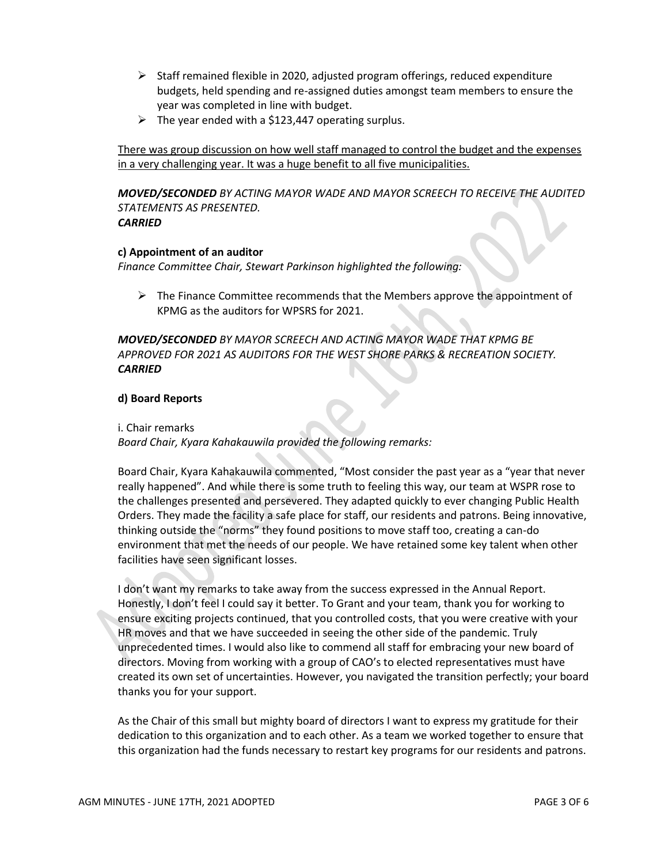- $\triangleright$  Staff remained flexible in 2020, adjusted program offerings, reduced expenditure budgets, held spending and re-assigned duties amongst team members to ensure the year was completed in line with budget.
- $\triangleright$  The year ended with a \$123,447 operating surplus.

There was group discussion on how well staff managed to control the budget and the expenses in a very challenging year. It was a huge benefit to all five municipalities.

*MOVED/SECONDED BY ACTING MAYOR WADE AND MAYOR SCREECH TO RECEIVE THE AUDITED STATEMENTS AS PRESENTED. CARRIED*

# **c) Appointment of an auditor**

*Finance Committee Chair, Stewart Parkinson highlighted the following:*

 $\triangleright$  The Finance Committee recommends that the Members approve the appointment of KPMG as the auditors for WPSRS for 2021.

*MOVED/SECONDED BY MAYOR SCREECH AND ACTING MAYOR WADE THAT KPMG BE APPROVED FOR 2021 AS AUDITORS FOR THE WEST SHORE PARKS & RECREATION SOCIETY. CARRIED*

# **d) Board Reports**

# i. Chair remarks

*Board Chair, Kyara Kahakauwila provided the following remarks:*

Board Chair, Kyara Kahakauwila commented, "Most consider the past year as a "year that never really happened". And while there is some truth to feeling this way, our team at WSPR rose to the challenges presented and persevered. They adapted quickly to ever changing Public Health Orders. They made the facility a safe place for staff, our residents and patrons. Being innovative, thinking outside the "norms" they found positions to move staff too, creating a can-do environment that met the needs of our people. We have retained some key talent when other facilities have seen significant losses.

I don't want my remarks to take away from the success expressed in the Annual Report. Honestly, I don't feel I could say it better. To Grant and your team, thank you for working to ensure exciting projects continued, that you controlled costs, that you were creative with your HR moves and that we have succeeded in seeing the other side of the pandemic. Truly unprecedented times. I would also like to commend all staff for embracing your new board of directors. Moving from working with a group of CAO's to elected representatives must have created its own set of uncertainties. However, you navigated the transition perfectly; your board thanks you for your support.

As the Chair of this small but mighty board of directors I want to express my gratitude for their dedication to this organization and to each other. As a team we worked together to ensure that this organization had the funds necessary to restart key programs for our residents and patrons.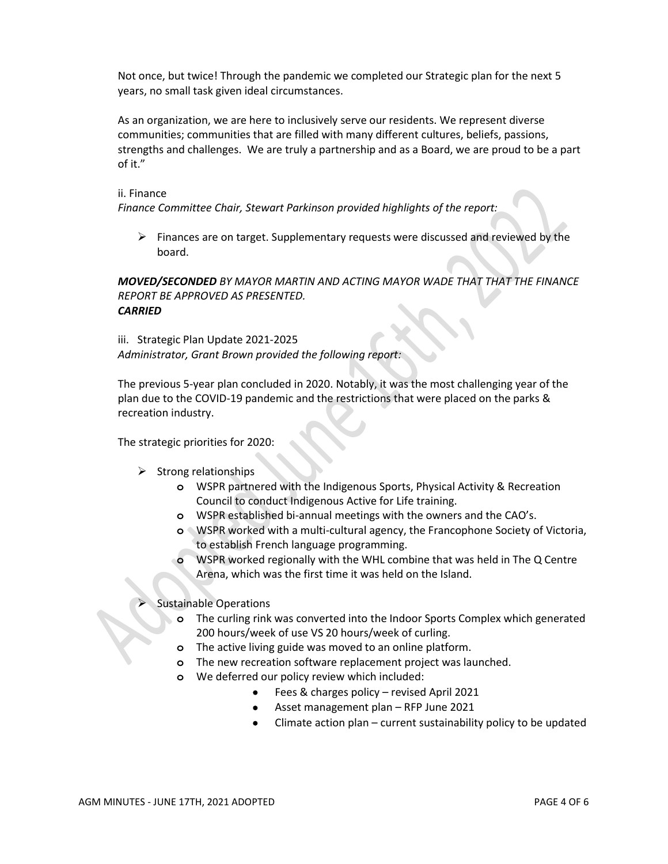Not once, but twice! Through the pandemic we completed our Strategic plan for the next 5 years, no small task given ideal circumstances.

As an organization, we are here to inclusively serve our residents. We represent diverse communities; communities that are filled with many different cultures, beliefs, passions, strengths and challenges. We are truly a partnership and as a Board, we are proud to be a part of it."

#### ii. Finance

*Finance Committee Chair, Stewart Parkinson provided highlights of the report:*

 $\triangleright$  Finances are on target. Supplementary requests were discussed and reviewed by the board.

*MOVED/SECONDED BY MAYOR MARTIN AND ACTING MAYOR WADE THAT THAT THE FINANCE REPORT BE APPROVED AS PRESENTED. CARRIED*

iii. Strategic Plan Update 2021-2025 *Administrator, Grant Brown provided the following report:*

The previous 5-year plan concluded in 2020. Notably, it was the most challenging year of the plan due to the COVID-19 pandemic and the restrictions that were placed on the parks & recreation industry.

The strategic priorities for 2020:

- $\triangleright$  Strong relationships
	- **o** WSPR partnered with the Indigenous Sports, Physical Activity & Recreation Council to conduct Indigenous Active for Life training.
	- **o** WSPR established bi-annual meetings with the owners and the CAO's.
	- **o** WSPR worked with a multi-cultural agency, the Francophone Society of Victoria, to establish French language programming.
	- **o** WSPR worked regionally with the WHL combine that was held in The Q Centre Arena, which was the first time it was held on the Island.

#### ➢ Sustainable Operations

- **o** The curling rink was converted into the Indoor Sports Complex which generated 200 hours/week of use VS 20 hours/week of curling.
- **o** The active living guide was moved to an online platform.
- **o** The new recreation software replacement project was launched.
- **o** We deferred our policy review which included:
	- Fees & charges policy revised April 2021
	- Asset management plan RFP June 2021
	- Climate action plan current sustainability policy to be updated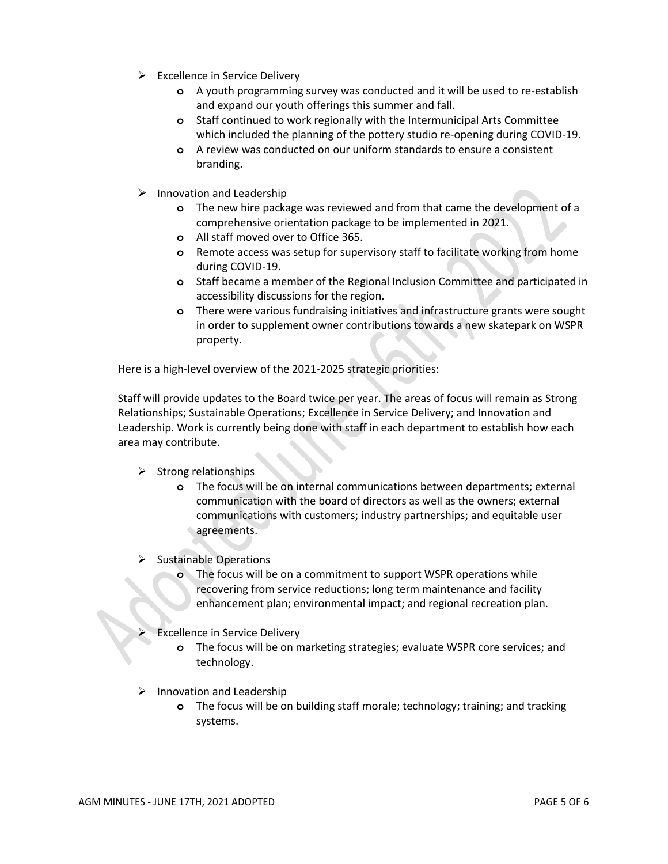- $\triangleright$  Excellence in Service Delivery
	- **o** A youth programming survey was conducted and it will be used to re-establish and expand our youth offerings this summer and fall.
	- **o** Staff continued to work regionally with the Intermunicipal Arts Committee which included the planning of the pottery studio re-opening during COVID-19.
	- **o** A review was conducted on our uniform standards to ensure a consistent branding.
- ➢ Innovation and Leadership
	- **o** The new hire package was reviewed and from that came the development of a comprehensive orientation package to be implemented in 2021.
	- **o** All staff moved over to Office 365.
	- **o** Remote access was setup for supervisory staff to facilitate working from home during COVID-19.
	- **o** Staff became a member of the Regional Inclusion Committee and participated in accessibility discussions for the region.
	- **o** There were various fundraising initiatives and infrastructure grants were sought in order to supplement owner contributions towards a new skatepark on WSPR property.

Here is a high-level overview of the 2021-2025 strategic priorities:

Staff will provide updates to the Board twice per year. The areas of focus will remain as Strong Relationships; Sustainable Operations; Excellence in Service Delivery; and Innovation and Leadership. Work is currently being done with staff in each department to establish how each area may contribute.

- $\triangleright$  Strong relationships
	- **o** The focus will be on internal communications between departments; external communication with the board of directors as well as the owners; external communications with customers; industry partnerships; and equitable user agreements.
- $\triangleright$  Sustainable Operations
	- **o** The focus will be on a commitment to support WSPR operations while recovering from service reductions; long term maintenance and facility enhancement plan; environmental impact; and regional recreation plan.
	- Excellence in Service Delivery
		- **o** The focus will be on marketing strategies; evaluate WSPR core services; and technology.
- $\triangleright$  Innovation and Leadership
	- **o** The focus will be on building staff morale; technology; training; and tracking systems.